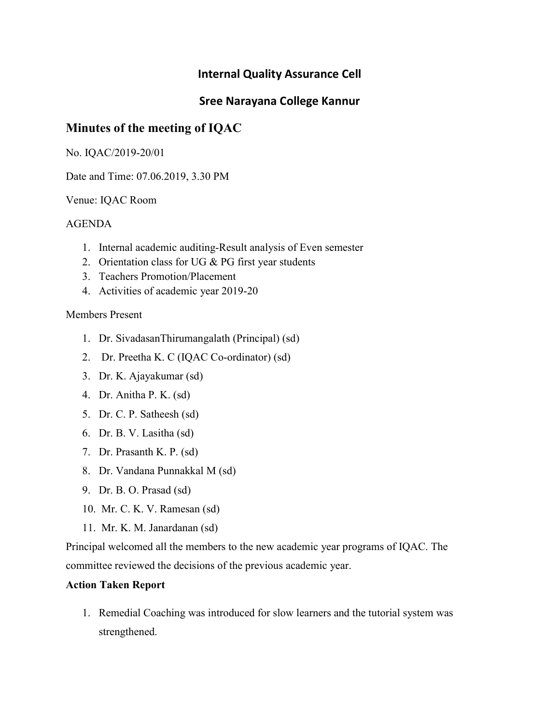## Sree Narayana College Kannur

# Minutes of the meeting of IQAC

No. IQAC/2019-20/01

Date and Time: 07.06.2019, 3.30 PM

Venue: IQAC Room

### AGENDA

- 1. Internal academic auditing-Result analysis of Even semester
- 2. Orientation class for UG  $& PG$  first year students
- 3. Teachers Promotion/Placement
- 4. Activities of academic year 2019-20

### Members Present

- 1. Dr. SivadasanThirumangalath (Principal) (sd)
- 2. Dr. Preetha K. C (IQAC Co-ordinator) (sd)
- 3. Dr. K. Ajayakumar (sd)
- 4. Dr. Anitha P. K. (sd)
- 5. Dr. C. P. Satheesh (sd)
- 6. Dr. B. V. Lasitha (sd)
- 7. Dr. Prasanth K. P. (sd)
- 8. Dr. Vandana Punnakkal M (sd)
- 9. Dr. B. O. Prasad (sd)
- 10. Mr. C. K. V. Ramesan (sd)
- 11. Mr. K. M. Janardanan (sd)

Principal welcomed all the members to the new academic year programs of IQAC. The committee reviewed the decisions of the previous academic year.

## Action Taken Report

1. Remedial Coaching was introduced for slow learners and the tutorial system was strengthened.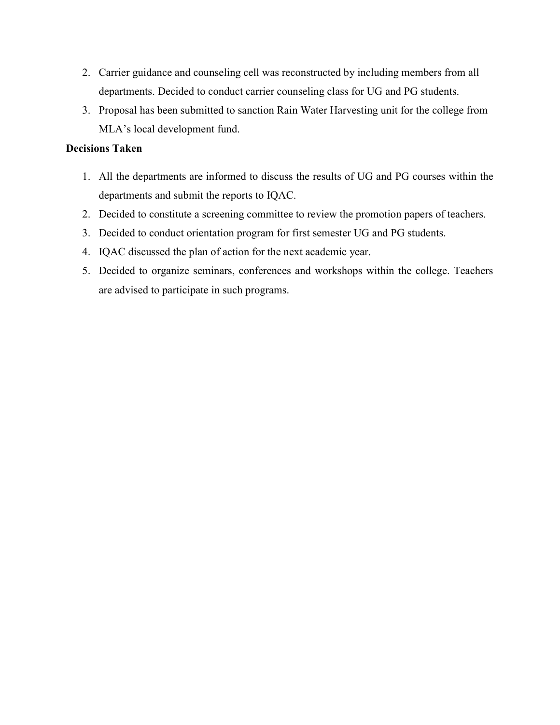- 2. Carrier guidance and counseling cell was reconstructed by including members from all departments. Decided to conduct carrier counseling class for UG and PG students.
- 3. Proposal has been submitted to sanction Rain Water Harvesting unit for the college from MLA's local development fund.

- 1. All the departments are informed to discuss the results of UG and PG courses within the departments and submit the reports to IQAC.
- 2. Decided to constitute a screening committee to review the promotion papers of teachers.
- 3. Decided to conduct orientation program for first semester UG and PG students.
- 4. IQAC discussed the plan of action for the next academic year.
- 5. Decided to organize seminars, conferences and workshops within the college. Teachers are advised to participate in such programs.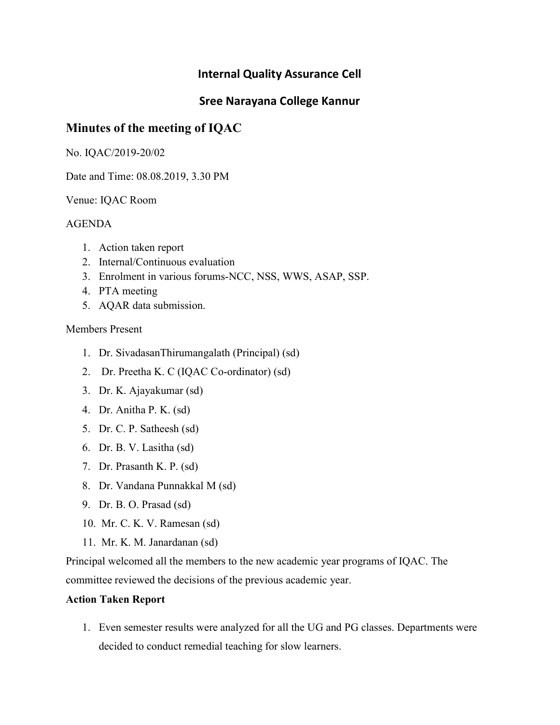## Sree Narayana College Kannur

# Minutes of the meeting of IQAC

No. IQAC/2019-20/02

Date and Time: 08.08.2019, 3.30 PM

Venue: IQAC Room

## AGENDA

- 1. Action taken report
- 2. Internal/Continuous evaluation
- 3. Enrolment in various forums-NCC, NSS, WWS, ASAP, SSP.
- 4. PTA meeting
- 5. AQAR data submission.

### Members Present

- 1. Dr. SivadasanThirumangalath (Principal) (sd)
- 2. Dr. Preetha K. C (IQAC Co-ordinator) (sd)
- 3. Dr. K. Ajayakumar (sd)
- 4. Dr. Anitha P. K. (sd)
- 5. Dr. C. P. Satheesh (sd)
- 6. Dr. B. V. Lasitha (sd)
- 7. Dr. Prasanth K. P. (sd)
- 8. Dr. Vandana Punnakkal M (sd)
- 9. Dr. B. O. Prasad (sd)
- 10. Mr. C. K. V. Ramesan (sd)
- 11. Mr. K. M. Janardanan (sd)

Principal welcomed all the members to the new academic year programs of IQAC. The committee reviewed the decisions of the previous academic year.

### Action Taken Report

1. Even semester results were analyzed for all the UG and PG classes. Departments were decided to conduct remedial teaching for slow learners.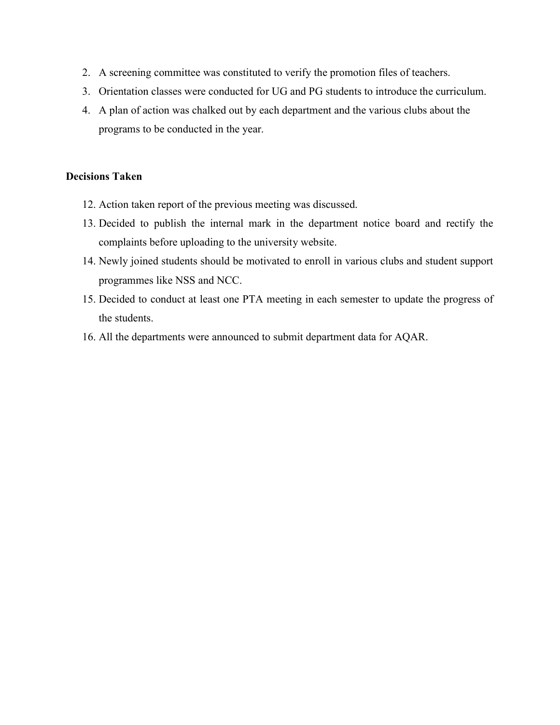- 2. A screening committee was constituted to verify the promotion files of teachers.
- 3. Orientation classes were conducted for UG and PG students to introduce the curriculum.
- 4. A plan of action was chalked out by each department and the various clubs about the programs to be conducted in the year.

- 12. Action taken report of the previous meeting was discussed.
- 13. Decided to publish the internal mark in the department notice board and rectify the complaints before uploading to the university website.
- 14. Newly joined students should be motivated to enroll in various clubs and student support programmes like NSS and NCC.
- 15. Decided to conduct at least one PTA meeting in each semester to update the progress of the students.
- 16. All the departments were announced to submit department data for AQAR.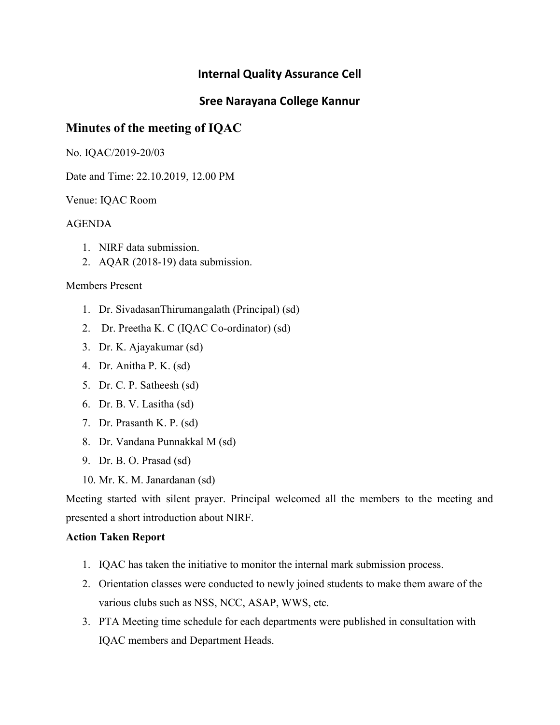# Sree Narayana College Kannur

# Minutes of the meeting of IQAC

No. IQAC/2019-20/03

Date and Time: 22.10.2019, 12.00 PM

Venue: IQAC Room

### AGENDA

- 1. NIRF data submission.
- 2. AQAR (2018-19) data submission.

### Members Present

- 1. Dr. SivadasanThirumangalath (Principal) (sd)
- 2. Dr. Preetha K. C (IQAC Co-ordinator) (sd)
- 3. Dr. K. Ajayakumar (sd)
- 4. Dr. Anitha P. K. (sd)
- 5. Dr. C. P. Satheesh (sd)
- 6. Dr. B. V. Lasitha (sd)
- 7. Dr. Prasanth K. P. (sd)
- 8. Dr. Vandana Punnakkal M (sd)
- 9. Dr. B. O. Prasad (sd)
- 10. Mr. K. M. Janardanan (sd)

Meeting started with silent prayer. Principal welcomed all the members to the meeting and presented a short introduction about NIRF.

### Action Taken Report

- 1. IQAC has taken the initiative to monitor the internal mark submission process.
- 2. Orientation classes were conducted to newly joined students to make them aware of the various clubs such as NSS, NCC, ASAP, WWS, etc.
- 3. PTA Meeting time schedule for each departments were published in consultation with IQAC members and Department Heads.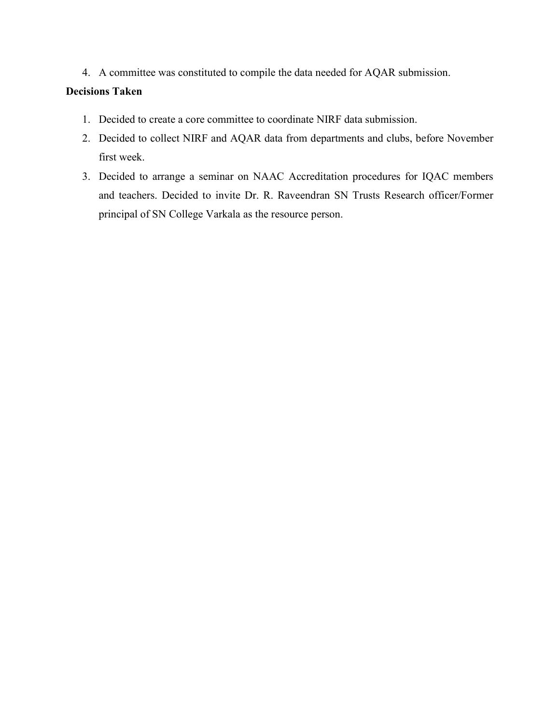4. A committee was constituted to compile the data needed for AQAR submission.

- 1. Decided to create a core committee to coordinate NIRF data submission.
- 2. Decided to collect NIRF and AQAR data from departments and clubs, before November first week.
- 3. Decided to arrange a seminar on NAAC Accreditation procedures for IQAC members and teachers. Decided to invite Dr. R. Raveendran SN Trusts Research officer/Former principal of SN College Varkala as the resource person.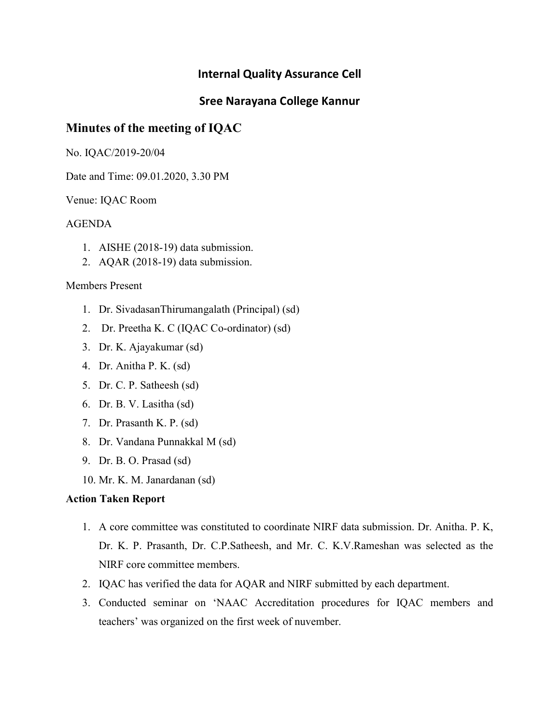# Sree Narayana College Kannur

# Minutes of the meeting of IQAC

No. IQAC/2019-20/04

Date and Time: 09.01.2020, 3.30 PM

Venue: IQAC Room

### AGENDA

- 1. AISHE (2018-19) data submission.
- 2. AQAR (2018-19) data submission.

#### Members Present

- 1. Dr. SivadasanThirumangalath (Principal) (sd)
- 2. Dr. Preetha K. C (IQAC Co-ordinator) (sd)
- 3. Dr. K. Ajayakumar (sd)
- 4. Dr. Anitha P. K. (sd)
- 5. Dr. C. P. Satheesh (sd)
- 6. Dr. B. V. Lasitha (sd)
- 7. Dr. Prasanth K. P. (sd)
- 8. Dr. Vandana Punnakkal M (sd)
- 9. Dr. B. O. Prasad (sd)
- 10. Mr. K. M. Janardanan (sd)

#### Action Taken Report

- 1. A core committee was constituted to coordinate NIRF data submission. Dr. Anitha. P. K, Dr. K. P. Prasanth, Dr. C.P.Satheesh, and Mr. C. K.V.Rameshan was selected as the NIRF core committee members.
- 2. IQAC has verified the data for AQAR and NIRF submitted by each department.
- 3. Conducted seminar on 'NAAC Accreditation procedures for IQAC members and teachers' was organized on the first week of nuvember.